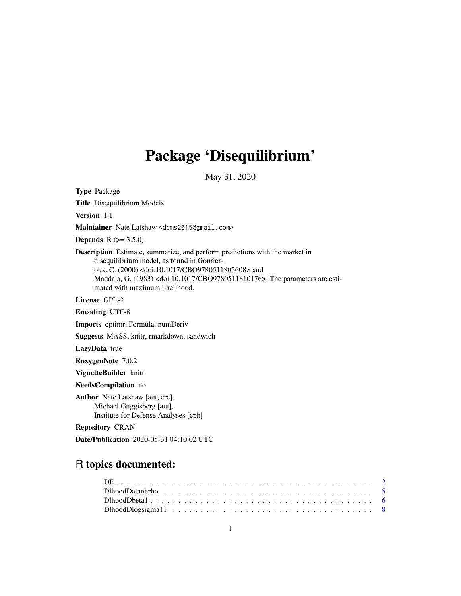# Package 'Disequilibrium'

May 31, 2020

<span id="page-0-0"></span>Type Package Title Disequilibrium Models Version 1.1 Maintainer Nate Latshaw <dcms2015@gmail.com> **Depends**  $R (= 3.5.0)$ Description Estimate, summarize, and perform predictions with the market in disequilibrium model, as found in Gourieroux, C. (2000) <doi:10.1017/CBO9780511805608> and Maddala, G. (1983) <doi:10.1017/CBO9780511810176>. The parameters are estimated with maximum likelihood. License GPL-3 Encoding UTF-8 Imports optimr, Formula, numDeriv Suggests MASS, knitr, rmarkdown, sandwich LazyData true RoxygenNote 7.0.2 VignetteBuilder knitr NeedsCompilation no Author Nate Latshaw [aut, cre], Michael Guggisberg [aut], Institute for Defense Analyses [cph]

Repository CRAN

Date/Publication 2020-05-31 04:10:02 UTC

# R topics documented: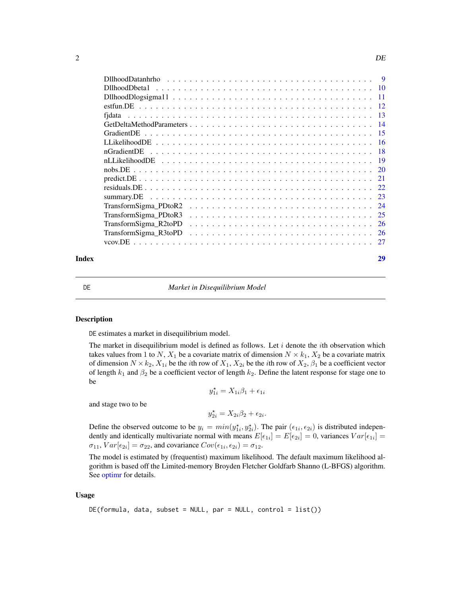<span id="page-1-0"></span>

| $DllboodDatanhrho \dots \dots \dots \dots \dots \dots \dots \dots \dots \dots \dots \dots \dots \dots \dots \dots$<br>-9 |
|--------------------------------------------------------------------------------------------------------------------------|
|                                                                                                                          |
|                                                                                                                          |
|                                                                                                                          |
|                                                                                                                          |
|                                                                                                                          |
| - 15                                                                                                                     |
|                                                                                                                          |
| -18                                                                                                                      |
| -19                                                                                                                      |
|                                                                                                                          |
| 21                                                                                                                       |
|                                                                                                                          |
| 23<br>summarv.DE                                                                                                         |
| TransformSigma PDtoR2                                                                                                    |
| 25<br>TransformSigma PDtoR3                                                                                              |
| TransformSigma_R2toPD<br>-26                                                                                             |
| TransformSigma_R3toPD<br>26                                                                                              |
|                                                                                                                          |
|                                                                                                                          |

# **Index** [29](#page-28-0)

DE *Market in Disequilibrium Model*

#### Description

DE estimates a market in disequilibrium model.

The market in disequilibrium model is defined as follows. Let  $i$  denote the *i*th observation which takes values from 1 to N,  $X_1$  be a covariate matrix of dimension  $N \times k_1$ ,  $X_2$  be a covariate matrix of dimension  $N \times k_2$ ,  $X_{1i}$  be the *i*th row of  $X_1$ ,  $X_{2i}$  be the *i*th row of  $X_2$ ,  $\beta_1$  be a coefficient vector of length  $k_1$  and  $\beta_2$  be a coefficient vector of length  $k_2$ . Define the latent response for stage one to be

$$
y_{1i}^{\star}=X_{1i}\beta_1+\epsilon_{1i}
$$

and stage two to be

$$
y_{2i}^* = X_{2i}\beta_2 + \epsilon_{2i}.
$$

Define the observed outcome to be  $y_i = min(y_{1i}^*, y_{2i}^*)$ . The pair  $(\epsilon_{1i}, \epsilon_{2i})$  is distributed independently and identically multivariate normal with means  $E[\epsilon_{1i}] = E[\epsilon_{2i}] = 0$ , variances  $Var[\epsilon_{1i}] = 0$  $\sigma_{11}$ ,  $Var[\epsilon_{2i}] = \sigma_{22}$ , and covariance  $Cov(\epsilon_{1i}, \epsilon_{2i}) = \sigma_{12}$ .

The model is estimated by (frequentist) maximum likelihood. The default maximum likelihood algorithm is based off the Limited-memory Broyden Fletcher Goldfarb Shanno (L-BFGS) algorithm. See [optimr](#page-0-0) for details.

# Usage

```
DE(formula, data, subset = NULL, par = NULL, control = list())
```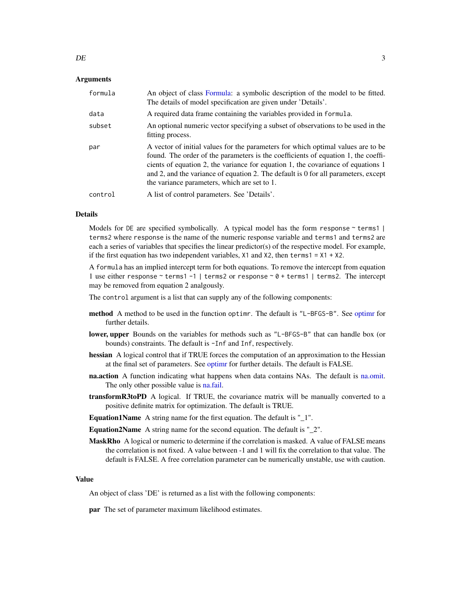#### <span id="page-2-0"></span>Arguments

| formula | An object of class Formula: a symbolic description of the model to be fitted.<br>The details of model specification are given under 'Details'.                                                                                                                                                                                                                                                  |
|---------|-------------------------------------------------------------------------------------------------------------------------------------------------------------------------------------------------------------------------------------------------------------------------------------------------------------------------------------------------------------------------------------------------|
| data    | A required data frame containing the variables provided in formula.                                                                                                                                                                                                                                                                                                                             |
| subset  | An optional numeric vector specifying a subset of observations to be used in the<br>fitting process.                                                                                                                                                                                                                                                                                            |
| par     | A vector of initial values for the parameters for which optimal values are to be<br>found. The order of the parameters is the coefficients of equation 1, the coeffi-<br>cients of equation 2, the variance for equation 1, the covariance of equations 1<br>and 2, and the variance of equation 2. The default is 0 for all parameters, except<br>the variance parameters, which are set to 1. |
| control | A list of control parameters. See 'Details'.                                                                                                                                                                                                                                                                                                                                                    |

#### Details

Models for DE are specified symbolically. A typical model has the form response  $\sim$  terms  $\mid$  | terms2 where response is the name of the numeric response variable and terms1 and terms2 are each a series of variables that specifies the linear predictor(s) of the respective model. For example, if the first equation has two independent variables,  $X1$  and  $X2$ , then terms $1 = X1 + X2$ .

A formula has an implied intercept term for both equations. To remove the intercept from equation 1 use either response ~ terms1 -1 | terms2 or response ~ 0 + terms1 | terms2. The intercept may be removed from equation 2 analgously.

The control argument is a list that can supply any of the following components:

- method A method to be used in the function optimr. The default is "L-BFGS-B". See [optimr](#page-0-0) for further details.
- lower, upper Bounds on the variables for methods such as "L-BFGS-B" that can handle box (or bounds) constraints. The default is -Inf and Inf, respectively.
- hessian A logical control that if TRUE forces the computation of an approximation to the Hessian at the final set of parameters. See [optimr](#page-0-0) for further details. The default is FALSE.
- **na.action** A function indicating what happens when data contains NAs. The default is [na.omit.](#page-0-0) The only other possible value is [na.fail.](#page-0-0)
- **transformR3toPD** A logical. If TRUE, the covariance matrix will be manually converted to a positive definite matrix for optimization. The default is TRUE.

Equation1Name A string name for the first equation. The default is "\_1".

- Equation2Name A string name for the second equation. The default is "\_2".
- MaskRho A logical or numeric to determine if the correlation is masked. A value of FALSE means the correlation is not fixed. A value between -1 and 1 will fix the correlation to that value. The default is FALSE. A free correlation parameter can be numerically unstable, use with caution.

#### Value

An object of class 'DE' is returned as a list with the following components:

par The set of parameter maximum likelihood estimates.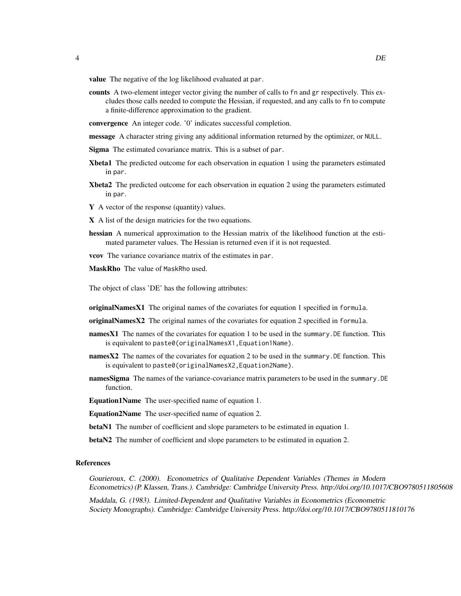value The negative of the log likelihood evaluated at par.

counts A two-element integer vector giving the number of calls to fn and gr respectively. This excludes those calls needed to compute the Hessian, if requested, and any calls to fn to compute a finite-difference approximation to the gradient.

convergence An integer code. '0' indicates successful completion.

message A character string giving any additional information returned by the optimizer, or NULL.

- Sigma The estimated covariance matrix. This is a subset of par.
- Xbeta1 The predicted outcome for each observation in equation 1 using the parameters estimated in par.
- Xbeta2 The predicted outcome for each observation in equation 2 using the parameters estimated in par.
- Y A vector of the response (quantity) values.
- X A list of the design matricies for the two equations.
- hessian A numerical approximation to the Hessian matrix of the likelihood function at the estimated parameter values. The Hessian is returned even if it is not requested.
- vcov The variance covariance matrix of the estimates in par.
- MaskRho The value of MaskRho used.

The object of class 'DE' has the following attributes:

originalNamesX1 The original names of the covariates for equation 1 specified in formula.

- originalNamesX2 The original names of the covariates for equation 2 specified in formula.
- **namesX1** The names of the covariates for equation 1 to be used in the summary. DE function. This is equivalent to paste0(originalNamesX1,Equation1Name).
- namesX2 The names of the covariates for equation 2 to be used in the summary. DE function. This is equivalent to paste0(originalNamesX2,Equation2Name).
- **namesSigma** The names of the variance-covariance matrix parameters to be used in the summary. DE function.

Equation1Name The user-specified name of equation 1.

Equation2Name The user-specified name of equation 2.

- betaN1 The number of coefficient and slope parameters to be estimated in equation 1.
- betaN2 The number of coefficient and slope parameters to be estimated in equation 2.

# References

Gourieroux, C. (2000). Econometrics of Qualitative Dependent Variables (Themes in Modern Econometrics) (P. Klassen, Trans.). Cambridge: Cambridge University Press. http://doi.org/10.1017/CBO9780511805608

Maddala, G. (1983). Limited-Dependent and Qualitative Variables in Econometrics (Econometric Society Monographs). Cambridge: Cambridge University Press. http://doi.org/10.1017/CBO9780511810176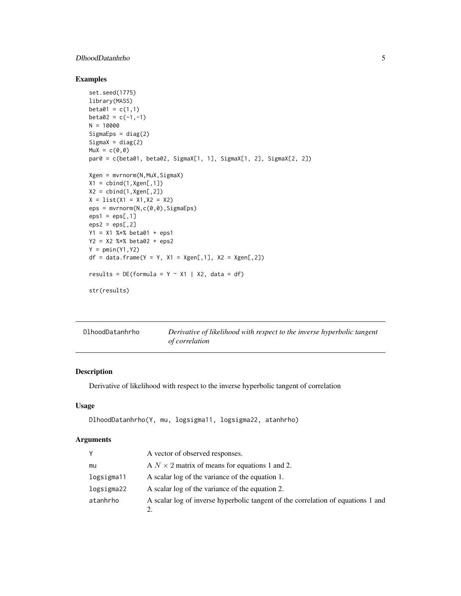# <span id="page-4-0"></span>DlhoodDatanhrho 5

# Examples

```
set.seed(1775)
library(MASS)
beta01 = c(1,1)beta2 = c(-1,-1)N = 10000SigmaEps = diag(2)
Sigma = diag(2)Mux = c(0, 0)par0 = c(beta01, beta02, SigmaX[1, 1], SigmaX[1, 2], SigmaX[2, 2])
Xgen = mvrnorm(N,MuX,SigmaX)
X1 = \text{cbind}(1, Xgen[, 1])X2 = \text{cbind}(1, Xgen[, 2])X = list(X1 = X1, X2 = X2)eps = mvrnorm(N,c(0,0),SigmaEps)
eps1 =eps[, 1]eps2 =eps[, 2]Y1 = X1 %*% beta01 + eps1
Y2 = X2 %*% beta02 + eps2
Y = pmin(Y1, Y2)df = data . frame(Y = Y, X1 = Xgen[, 1], X2 = Xgen[, 2])results = DE(formula = Y ~ x1 | X2, data = df)str(results)
```

| DlhoodDatanhrho | Derivative of likelihood with respect to the inverse hyperbolic tangent |
|-----------------|-------------------------------------------------------------------------|
|                 | <i>of correlation</i>                                                   |

# Description

Derivative of likelihood with respect to the inverse hyperbolic tangent of correlation

# Usage

```
DlhoodDatanhrho(Y, mu, logsigma11, logsigma22, atanhrho)
```
# Arguments

| γ          | A vector of observed responses.                                                  |
|------------|----------------------------------------------------------------------------------|
| mu         | A $N \times 2$ matrix of means for equations 1 and 2.                            |
| logsigma11 | A scalar log of the variance of the equation 1.                                  |
| logsigma22 | A scalar log of the variance of the equation 2.                                  |
| atanhrho   | A scalar log of inverse hyperbolic tangent of the correlation of equations 1 and |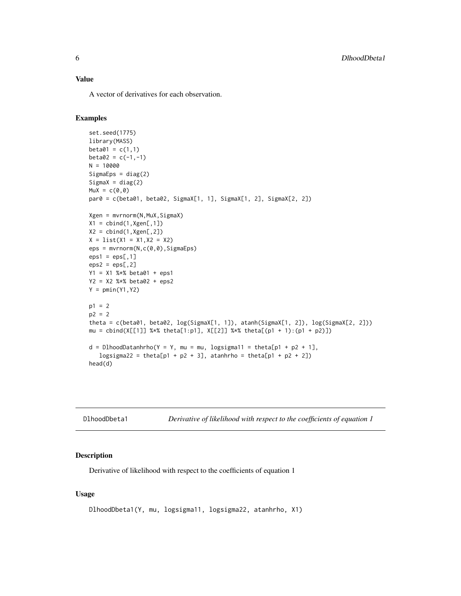<span id="page-5-0"></span>A vector of derivatives for each observation.

# Examples

```
set.seed(1775)
library(MASS)
beta01 = c(1,1)beta2 = c(-1, -1)N = 10000
Sigma = diag(2)Sigma = diag(2)Mux = c(0, 0)par0 = c(beta01, beta02, SigmaX[1, 1], SigmaX[1, 2], SigmaX[2, 2])
Xgen = mvrnorm(N,MuX,SigmaX)
X1 = \text{cbind}(1, Xgen[, 1])X2 = \text{cbind}(1, Xgen[, 2])X = list(X1 = X1, X2 = X2)eps = mvrnorm(N,c(0,0),SigmaEps)
eps1 =eps[, 1]eps2 =eps[, 2]Y1 = X1 %*% beta01 + eps1
Y2 = X2 %*% beta02 + eps2
Y = pmin(Y1, Y2)p1 = 2p2 = 2theta = c(beta01, beta02, log(SigmaX[1, 1]), atanh(SigmaX[1, 2]), log(SigmaX[2, 2]))
mu = cbind(X[[1]] %*% theta[1:p1], X[[2]] %*% theta[(p1 + 1):(p1 + p2)])
d = D1hoodDatanhrho(Y = Y, mu = mu, logsigma11 = theta[p1 + p2 + 1],
   logsigma22 = theta[p1 + p2 + 3], atanhrho = theta[p1 + p2 + 2])
head(d)
```

| DlhoodDbeta1 | Derivative of likelihood with respect to the coefficients of equation 1 |  |  |
|--------------|-------------------------------------------------------------------------|--|--|
|--------------|-------------------------------------------------------------------------|--|--|

# Description

Derivative of likelihood with respect to the coefficients of equation 1

#### Usage

```
DlhoodDbeta1(Y, mu, logsigma11, logsigma22, atanhrho, X1)
```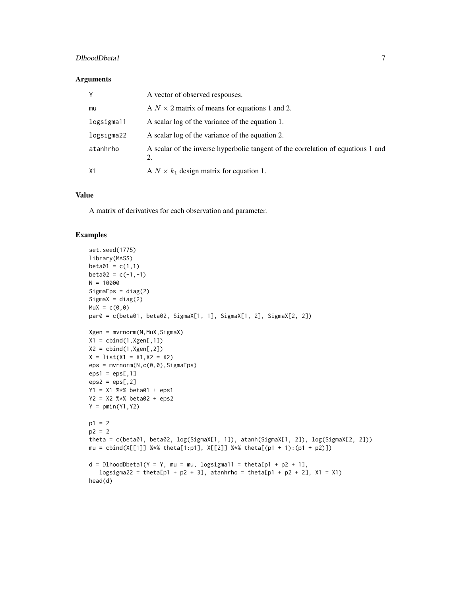# DlhoodDbeta1 7

#### Arguments

| Y          | A vector of observed responses.                                                        |
|------------|----------------------------------------------------------------------------------------|
| mu         | A $N \times 2$ matrix of means for equations 1 and 2.                                  |
| logsigma11 | A scalar log of the variance of the equation 1.                                        |
| logsigma22 | A scalar log of the variance of the equation 2.                                        |
| atanhrho   | A scalar of the inverse hyperbolic tangent of the correlation of equations 1 and<br>2. |
| X1         | A $N \times k_1$ design matrix for equation 1.                                         |

# Value

A matrix of derivatives for each observation and parameter.

```
set.seed(1775)
library(MASS)
beta01 = c(1,1)beta2 = c(-1,-1)N = 10000
SigmaEps = diag(2)SignaX = diag(2)Mux = c(0, 0)par0 = c(beta01, beta02, SigmaX[1, 1], SigmaX[1, 2], SigmaX[2, 2])
Xgen = mvrnorm(N,MuX,SigmaX)
X1 = \text{cbind}(1, Xgen[, 1])X2 = \text{cbind}(1, Xgen[, 2])X = list(X1 = X1, X2 = X2)eps = mvrnorm(N,c(0,0),SigmaEps)
eps1 =eps[, 1]eps2 =eps[, 2]Y1 = X1 %*% beta01 + eps1
Y2 = X2 %*% beta02 + eps2
Y = pmin(Y1, Y2)p1 = 2p2 = 2theta = c(beta01, beta02, log(SigmaX[1, 1]), atanh(SigmaX[1, 2]), log(SigmaX[2, 2]))
mu = \text{cbind}(X[[1]] %* % \text{theta}[1:p1], X[[2]] %* % \text{theta}[p1 + 1):(p1 + p2)]d = D1hoodDbeta1(Y = Y, mu = mu, logsigma11 = theta[p1 + p2 + 1],
   logsigma22 = theta[p1 + p2 + 3], atanhrho = theta[p1 + p2 + 2], X1 = X1)
head(d)
```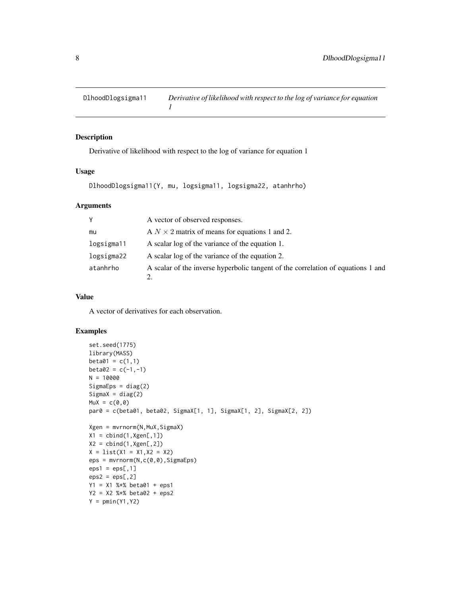<span id="page-7-0"></span>

### Description

Derivative of likelihood with respect to the log of variance for equation 1

#### Usage

DlhoodDlogsigma11(Y, mu, logsigma11, logsigma22, atanhrho)

#### Arguments

| Υ          | A vector of observed responses.                                                  |
|------------|----------------------------------------------------------------------------------|
| mu         | A $N \times 2$ matrix of means for equations 1 and 2.                            |
| logsigma11 | A scalar log of the variance of the equation 1.                                  |
| logsigma22 | A scalar log of the variance of the equation 2.                                  |
| atanhrho   | A scalar of the inverse hyperbolic tangent of the correlation of equations 1 and |

# Value

A vector of derivatives for each observation.

```
set.seed(1775)
library(MASS)
beta01 = c(1,1)beta2 = c(-1, -1)N = 10000Sigma = diag(2)SignaX = diag(2)Mux = c(0, 0)par0 = c(beta01, beta02, SigmaX[1, 1], SigmaX[1, 2], SigmaX[2, 2])
Xgen = mvrnorm(N,MuX,SigmaX)
X1 = \text{cbind}(1, Xgen[, 1])X2 = \text{cbind}(1, Xgen[, 2])X = list(X1 = X1, X2 = X2)eps = mvrnorm(N,c(0,0),SigmaEps)
eps1 =eps[, 1]eps2 =eps[, 2]Y1 = X1 %*% beta01 + eps1
Y2 = X2 %*% beta02 + eps2
Y = pmin(Y1, Y2)
```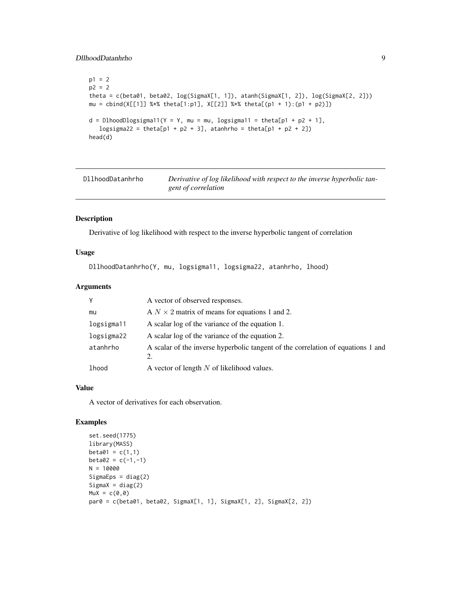# <span id="page-8-0"></span>DllhoodDatanhrho 9

```
p1 = 2p2 = 2theta = c(beta01, beta02, log(SigmaX[1, 1]), atanh(SigmaX[1, 2]), log(SigmaX[2, 2]))
mu = \text{cbind}(X[[1]] %* % \text{theta}[1:p1], X[[2]] %* % \text{theta}[p1 + 1):(p1 + p2)]d = D1hoodDlogsigma11(Y = Y, mu = mu, logsigma11 = theta[p1 + p2 + 1],
   logsigma22 = theta[p1 + p2 + 3], atanhrho = theta[p1 + p2 + 2])
head(d)
```
DllhoodDatanhrho *Derivative of log likelihood with respect to the inverse hyperbolic tangent of correlation*

# Description

Derivative of log likelihood with respect to the inverse hyperbolic tangent of correlation

# Usage

DllhoodDatanhrho(Y, mu, logsigma11, logsigma22, atanhrho, lhood)

# Arguments

| Y          | A vector of observed responses.                                                        |
|------------|----------------------------------------------------------------------------------------|
| mu         | A $N \times 2$ matrix of means for equations 1 and 2.                                  |
| logsigma11 | A scalar log of the variance of the equation 1.                                        |
| logsigma22 | A scalar log of the variance of the equation 2.                                        |
| atanhrho   | A scalar of the inverse hyperbolic tangent of the correlation of equations 1 and<br>2. |
| lhood      | A vector of length $N$ of likelihood values.                                           |

# Value

A vector of derivatives for each observation.

```
set.seed(1775)
library(MASS)
beta01 = c(1,1)beta2 = c(-1,-1)N = 10000
Sigma = diag(2)Sigma = diag(2)Mux = c(0, 0)par0 = c(beta01, beta02, SigmaX[1, 1], SigmaX[1, 2], SigmaX[2, 2])
```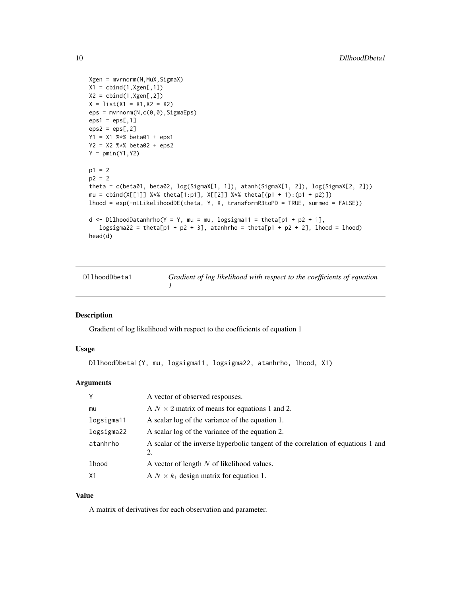```
Xgen = mvrnorm(N,MuX,SigmaX)
X1 = \text{cbind}(1, Xgen[, 1])X2 = \text{cbind}(1, Xgen[, 2])X = list(X1 = X1, X2 = X2)eps = mvrnorm(N,c(0,0),SigmaEps)
eps1 =eps[, 1]eps2 =eps[, 2]Y1 = X1 %*% beta01 + eps1
Y2 = X2 %*% beta02 + eps2
Y = pmin(Y1, Y2)p1 = 2p2 = 2theta = c(beta01, beta02, log(SigmaX[1, 1]), atanh(SigmaX[1, 2]), log(SigmaX[2, 2]))
mu = \text{cbind}(X[[1]] %* % \text{theta}[1:p1], X[[2]] %* % \text{theta}([p1 + 1):(p1 + p2)])lhood = exp(-nLLikelihoodDE(theta, Y, X, transformR3toPD = TRUE, summed = FALSE))
d <- DllhoodDatanhrho(Y = Y, mu = mu, logsigma11 = theta[p1 + p2 + 1],
   logsigma22 = theta[p1 + p2 + 3], atanhrho = theta[p1 + p2 + 2], lhood = lhood)
head(d)
```

| DllhoodDbeta1 | Gradient of log likelihood with respect to the coefficients of equation |
|---------------|-------------------------------------------------------------------------|
|               |                                                                         |

#### Description

Gradient of log likelihood with respect to the coefficients of equation 1

# Usage

```
DllhoodDbeta1(Y, mu, logsigma11, logsigma22, atanhrho, lhood, X1)
```
# Arguments

| Υ              | A vector of observed responses.                                                        |
|----------------|----------------------------------------------------------------------------------------|
| mu             | A $N \times 2$ matrix of means for equations 1 and 2.                                  |
| logsigma11     | A scalar log of the variance of the equation 1.                                        |
| logsigma22     | A scalar log of the variance of the equation 2.                                        |
| atanhrho       | A scalar of the inverse hyperbolic tangent of the correlation of equations 1 and<br>2. |
| <b>lhood</b>   | A vector of length $N$ of likelihood values.                                           |
| X <sub>1</sub> | A $N \times k_1$ design matrix for equation 1.                                         |

# Value

A matrix of derivatives for each observation and parameter.

<span id="page-9-0"></span>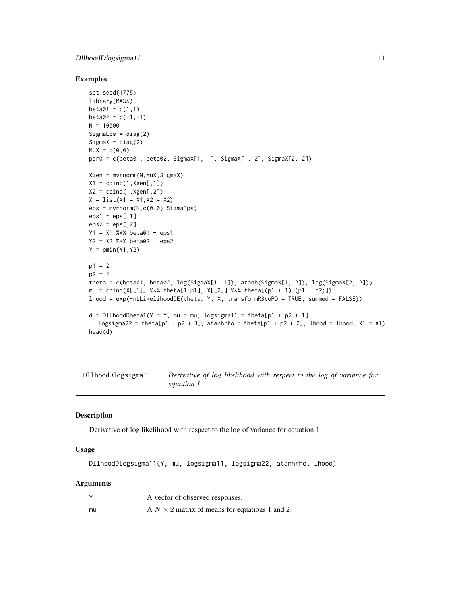# <span id="page-10-0"></span>DllhoodDlogsigma11 11

#### Examples

```
set.seed(1775)
library(MASS)
beta01 = c(1,1)beta2 = c(-1, -1)N = 10000SigmaEps = diag(2)
Sigma = diag(2)Mux = c(0, 0)par0 = c(beta01, beta02, SigmaX[1, 1], SigmaX[1, 2], SigmaX[2, 2])
Xgen = mvrnorm(N,MuX,SigmaX)
X1 = \text{cbind}(1, Xgen[, 1])X2 = \text{cbind}(1, Xgen[, 2])X = list(X1 = X1, X2 = X2)eps = mvrnorm(N, c(0, 0), SigmaEps)eps1 =eps[, 1]eps2 =eps[, 2]Y1 = X1 %*% beta01 + eps1
Y2 = X2 %*% beta02 + eps2
Y = pmin(Y1, Y2)p1 = 2p2 = 2theta = c(beta01, beta02, log(SigmaX[1, 1]), atanh(SigmaX[1, 2]), log(SigmaX[2, 2]))
mu = \text{cbind}(X[[1]] %* % \text{theta}[1:p1], X[[2]] %* % \text{theta}([p1 + 1):(p1 + p2)])lhood = exp(-nLLikelihoodDE(theta, Y, X, transformR3toPD = TRUE, summed = FALSE))
d = D11hoodDbeta1(Y = Y, mu = mu, logsigma11 = theta[p1 + p2 + 1],
   logsigma22 = theta[p1 + p2 + 3], atanhrho = theta[p1 + p2 + 2], lhood = lhood, X1 = X1)
head(d)
```

```
DllhoodDlogsigma11 Derivative of log likelihood with respect to the log of variance for
                         equation 1
```
#### Description

Derivative of log likelihood with respect to the log of variance for equation 1

# Usage

DllhoodDlogsigma11(Y, mu, logsigma11, logsigma22, atanhrho, lhood)

# Arguments

|    | A vector of observed responses.                       |
|----|-------------------------------------------------------|
| mu | A $N \times 2$ matrix of means for equations 1 and 2. |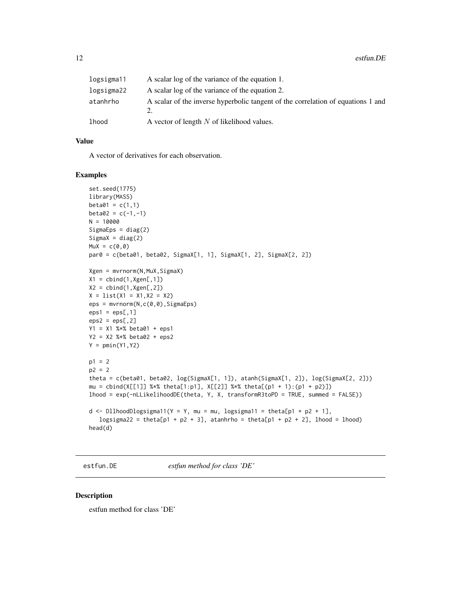<span id="page-11-0"></span>

| logsigma11 | A scalar log of the variance of the equation 1.                                  |
|------------|----------------------------------------------------------------------------------|
| logsigma22 | A scalar log of the variance of the equation 2.                                  |
| atanhrho   | A scalar of the inverse hyperbolic tangent of the correlation of equations 1 and |
| lhood      | A vector of length $N$ of likelihood values.                                     |

# Value

A vector of derivatives for each observation.

#### Examples

```
set.seed(1775)
library(MASS)
beta01 = c(1,1)beta2 = c(-1,-1)N = 10000SigmaEps = diag(2)Sigma = diag(2)MuX = c(0, 0)par0 = c(beta01, beta02, SigmaX[1, 1], SigmaX[1, 2], SigmaX[2, 2])
Xgen = mvrnorm(N,MuX,SigmaX)
X1 = \text{cbind}(1, \text{Xgen}[, 1])X2 = \text{cbind}(1, Xgen[, 2])X = list(X1 = X1, X2 = X2)eps = mvrnorm(N,c(0,0),SigmaEps)
eps1 =eps[, 1]eps2 =eps[, 2]Y1 = X1 %*% beta01 + eps1
Y2 = X2 %*% beta02 + eps2
Y = pmin(Y1, Y2)p1 = 2p2 = 2theta = c(beta01, beta02, log(SigmaX[1, 1]), atanh(SigmaX[1, 2]), log(SigmaX[2, 2]))
mu = cbind(X[[1]] %*% theta[1:p1], X[[2]] %*% theta[(p1 + 1):(p1 + p2)])
lhood = exp(-nLLikelihoodDE(theta, Y, X, transformR3toPD = TRUE, summed = FALSE))
d <- DllhoodDlogsigma11(Y = Y, mu = mu, logsigma11 = theta[p1 + p2 + 1],
   logsigma22 = theta[p1 + p2 + 3], atanhrho = theta[p1 + p2 + 2], lhood = lhood)
head(d)
```
estfun.DE *estfun method for class 'DE'*

#### Description

estfun method for class 'DE'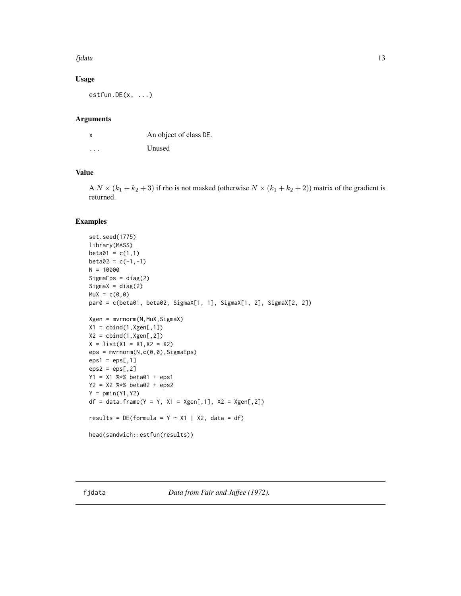#### <span id="page-12-0"></span>fjdata 13

# Usage

 $estfun.DE(x, ...)$ 

#### Arguments

| x                       | An object of class DE. |
|-------------------------|------------------------|
| $\cdot$ $\cdot$ $\cdot$ | Unused                 |

# Value

A  $N \times (k_1 + k_2 + 3)$  if rho is not masked (otherwise  $N \times (k_1 + k_2 + 2)$ ) matrix of the gradient is returned.

#### Examples

```
set.seed(1775)
library(MASS)
beta01 = c(1,1)beta2 = c(-1,-1)N = 10000
Sigma = diag(2)SignaX = diag(2)Mux = c(0, 0)par0 = c(beta01, beta02, SigmaX[1, 1], SigmaX[1, 2], SigmaX[2, 2])
Xgen = mvrnorm(N,MuX,SigmaX)
X1 = \text{cbind}(1, Xgen[, 1])X2 = \text{cbind}(1, Xgen[, 2])X = list(X1 = X1, X2 = X2)eps = mvrnorm(N, c(0, 0), SigmaEps)eps1 =eps[, 1]eps2 =eps[, 2]Y1 = X1 %*% beta01 + eps1
Y2 = X2 %*% beta02 + eps2
Y = pmin(Y1, Y2)df = data frame(Y = Y, X1 = Xgen[, 1], X2 = Xgen[, 2])results = DE(formula = Y ~ x1 | X2, data = df)head(sandwich::estfun(results))
```
fjdata *Data from Fair and Jaffee (1972).*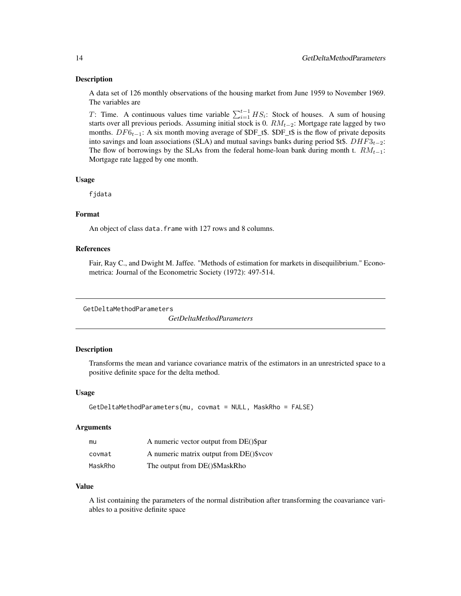#### <span id="page-13-0"></span>Description

A data set of 126 monthly observations of the housing market from June 1959 to November 1969. The variables are

T: Time. A continuous values time variable  $\sum_{i=1}^{t-1} HS_i$ : Stock of houses. A sum of housing starts over all previous periods. Assuming initial stock is 0.  $RM_{t-2}$ : Mortgage rate lagged by two months.  $DF6_{t-1}$ : A six month moving average of \$DF\_t\$. \$DF\_t\$ is the flow of private deposits into savings and loan associations (SLA) and mutual savings banks during period \$t\$.  $DHF3_{t-2}$ : The flow of borrowings by the SLAs from the federal home-loan bank during month t.  $RM_{t-1}$ : Mortgage rate lagged by one month.

#### Usage

fjdata

#### Format

An object of class data. frame with 127 rows and 8 columns.

#### References

Fair, Ray C., and Dwight M. Jaffee. "Methods of estimation for markets in disequilibrium." Econometrica: Journal of the Econometric Society (1972): 497-514.

GetDeltaMethodParameters

*GetDeltaMethodParameters*

#### Description

Transforms the mean and variance covariance matrix of the estimators in an unrestricted space to a positive definite space for the delta method.

# Usage

```
GetDeltaMethodParameters(mu, covmat = NULL, MaskRho = FALSE)
```
#### Arguments

| mu      | A numeric vector output from DE()\$par  |
|---------|-----------------------------------------|
| covmat  | A numeric matrix output from DE()\$vcov |
| MaskRho | The output from DE()\$MaskRho           |

#### Value

A list containing the parameters of the normal distribution after transforming the coavariance variables to a positive definite space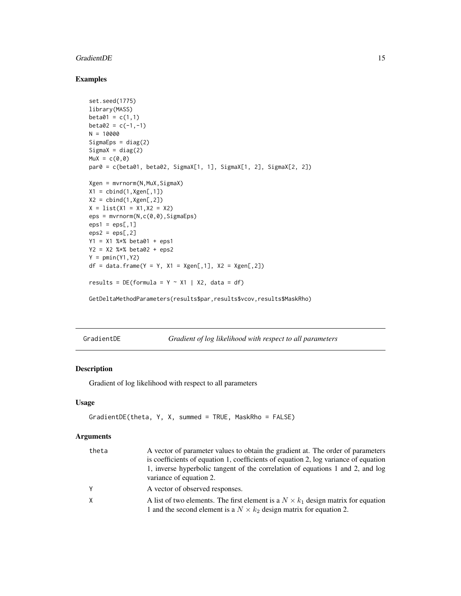#### <span id="page-14-0"></span>GradientDE 15

# Examples

```
set.seed(1775)
library(MASS)
beta01 = c(1,1)beta2 = c(-1,-1)N = 10000SigmaEps = diag(2)SignaX = diag(2)MuX = c(0, 0)par0 = c(beta01, beta02, SigmaX[1, 1], SigmaX[1, 2], SigmaX[2, 2])
Xgen = mvrnorm(N,MuX,SigmaX)
X1 = \text{cbind}(1, Xgen[, 1])X2 = \text{cbind}(1, Xgen[, 2])X = list(X1 = X1, X2 = X2)eps = mvrnorm(N,c(0,0),SigmaEps)
eps1 =eps[, 1]eps2 =eps[, 2]Y1 = X1 %*% beta01 + eps1
Y2 = X2 %*% beta02 + eps2
Y = pmin(Y1, Y2)df = data frame(Y = Y, X1 = Xgen[, 1], X2 = Xgen[, 2])results = DE(formula = Y ~ x1 | X2, data = df)
```
GetDeltaMethodParameters(results\$par,results\$vcov,results\$MaskRho)

GradientDE *Gradient of log likelihood with respect to all parameters*

# Description

Gradient of log likelihood with respect to all parameters

# Usage

```
GradientDE(theta, Y, X, summed = TRUE, MaskRho = FALSE)
```
#### Arguments

| theta | A vector of parameter values to obtain the gradient at. The order of parameters          |
|-------|------------------------------------------------------------------------------------------|
|       | is coefficients of equation 1, coefficients of equation 2, log variance of equation      |
|       | 1, inverse hyperbolic tangent of the correlation of equations 1 and 2, and log           |
|       | variance of equation 2.                                                                  |
| Y     | A vector of observed responses.                                                          |
| X     | A list of two elements. The first element is a $N \times k_1$ design matrix for equation |
|       | 1 and the second element is a $N \times k_2$ design matrix for equation 2.               |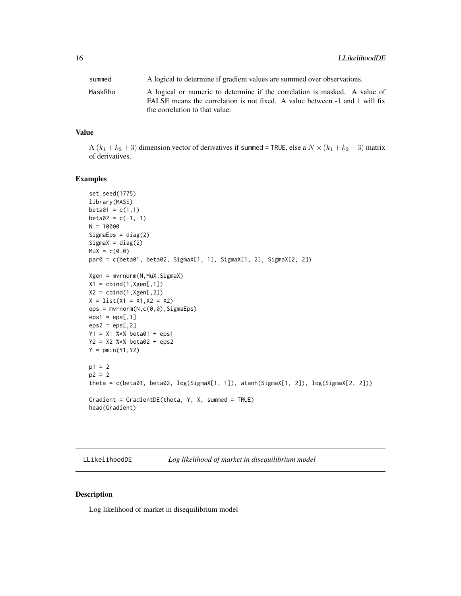<span id="page-15-0"></span>

| summed  | A logical to determine if gradient values are summed over observations.                                                                                                                     |
|---------|---------------------------------------------------------------------------------------------------------------------------------------------------------------------------------------------|
| MaskRho | A logical or numeric to determine if the correlation is masked. A value of<br>FALSE means the correlation is not fixed. A value between -1 and 1 will fix<br>the correlation to that value. |

# Value

A  $(k_1 + k_2 + 3)$  dimension vector of derivatives if summed = TRUE, else a  $N \times (k_1 + k_2 + 3)$  matrix of derivatives.

# Examples

```
set.seed(1775)
library(MASS)
beta01 = c(1,1)beta2 = c(-1,-1)N = 10000
SigmaEps = diag(2)Sigma = diag(2)Mux = c(0, 0)par0 = c(beta01, beta02, SigmaX[1, 1], SigmaX[1, 2], SigmaX[2, 2])
Xgen = mvrnorm(N,MuX,SigmaX)
X1 = \text{cbind}(1, Xgen[, 1])X2 = \text{cbind}(1, Xgen[, 2])X = list(X1 = X1, X2 = X2)eps = mvrnorm(N,c(0,0),SigmaEps)
eps1 =eps[, 1]eps2 =eps[, 2]Y1 = X1 %*% beta01 + eps1
Y2 = X2 %*% beta02 + eps2
Y = pmin(Y1, Y2)p1 = 2p2 = 2theta = c(beta01, beta02, log(SigmaX[1, 1]), atanh(SigmaX[1, 2]), log(SigmaX[2, 2]))
Gradient = GradientDE(theta, Y, X, summed = TRUE)
head(Gradient)
```
LLikelihoodDE *Log likelihood of market in disequilibrium model*

# Description

Log likelihood of market in disequilibrium model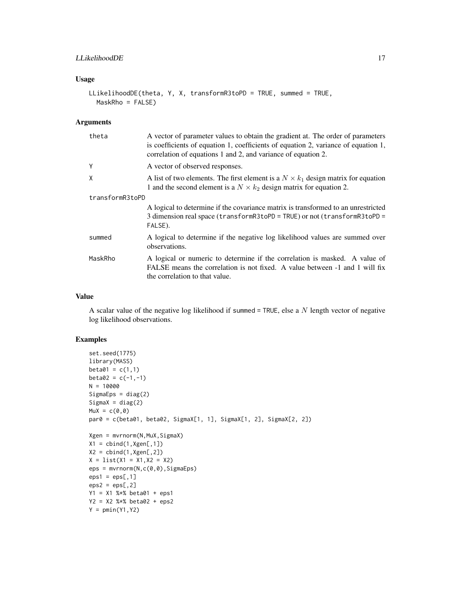# LLikelihoodDE 17

# Usage

```
LLikelihoodDE(theta, Y, X, transformR3toPD = TRUE, summed = TRUE,
 MaskRho = FALSE)
```
#### Arguments

| theta           | A vector of parameter values to obtain the gradient at. The order of parameters<br>is coefficients of equation 1, coefficients of equation 2, variance of equation 1,<br>correlation of equations 1 and 2, and variance of equation 2. |
|-----------------|----------------------------------------------------------------------------------------------------------------------------------------------------------------------------------------------------------------------------------------|
| Y               | A vector of observed responses.                                                                                                                                                                                                        |
| X               | A list of two elements. The first element is a $N \times k_1$ design matrix for equation<br>1 and the second element is a $N \times k_2$ design matrix for equation 2.                                                                 |
| transformR3toPD |                                                                                                                                                                                                                                        |
|                 | A logical to determine if the covariance matrix is transformed to an unrestricted<br>3 dimension real space ( $transform$ R3toPD = TRUE) or not ( $transform$ R3toPD =<br>FALSE).                                                      |
| summed          | A logical to determine if the negative log likelihood values are summed over<br>observations.                                                                                                                                          |
| MaskRho         | A logical or numeric to determine if the correlation is masked. A value of<br>FALSE means the correlation is not fixed. A value between -1 and 1 will fix<br>the correlation to that value.                                            |

# Value

A scalar value of the negative log likelihood if summed = TRUE, else a  $N$  length vector of negative log likelihood observations.

```
set.seed(1775)
library(MASS)
beta01 = c(1,1)beta2 = c(-1,-1)N = 10000SigmaEps = diag(2)
SignaX = diag(2)MuX = c(0, 0)par0 = c(beta01, beta02, SigmaX[1, 1], SigmaX[1, 2], SigmaX[2, 2])
Xgen = mvrnorm(N,MuX,SigmaX)
X1 = \text{cbind}(1, Xgen[, 1])X2 = \text{cbind}(1, Xgen[, 2])X = list(X1 = X1, X2 = X2)eps = mvrnorm(N,c(0,0),SigmaEps)
eps1 =eps[, 1]eps2 =eps[, 2]Y1 = X1 %*% beta01 + eps1
Y2 = X2 %*% beta02 + eps2
Y = pmin(Y1, Y2)
```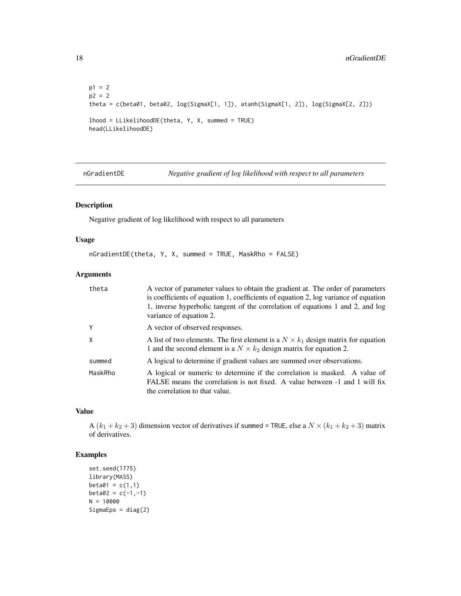```
p1 = 2p2 = 2
theta = c(beta01, beta02, log(SigmaX[1, 1]), atanh(SigmaX[1, 2]), log(SigmaX[2, 2]))
lhood = LLikelihoodDE(theta, Y, X, summed = TRUE)
head(LLikelihoodDE)
```
nGradientDE *Negative gradient of log likelihood with respect to all parameters*

# Description

Negative gradient of log likelihood with respect to all parameters

# Usage

nGradientDE(theta, Y, X, summed = TRUE, MaskRho = FALSE)

# Arguments

| theta   | A vector of parameter values to obtain the gradient at. The order of parameters<br>is coefficients of equation 1, coefficients of equation 2, log variance of equation<br>1, inverse hyperbolic tangent of the correlation of equations 1 and 2, and log<br>variance of equation 2. |
|---------|-------------------------------------------------------------------------------------------------------------------------------------------------------------------------------------------------------------------------------------------------------------------------------------|
| Y       | A vector of observed responses.                                                                                                                                                                                                                                                     |
| X       | A list of two elements. The first element is a $N \times k_1$ design matrix for equation<br>1 and the second element is a $N \times k_2$ design matrix for equation 2.                                                                                                              |
| summed  | A logical to determine if gradient values are summed over observations.                                                                                                                                                                                                             |
| MaskRho | A logical or numeric to determine if the correlation is masked. A value of<br>FALSE means the correlation is not fixed. A value between -1 and 1 will fix<br>the correlation to that value.                                                                                         |

#### Value

A  $(k_1 + k_2 + 3)$  dimension vector of derivatives if summed = TRUE, else a  $N \times (k_1 + k_2 + 3)$  matrix of derivatives.

```
set.seed(1775)
library(MASS)
beta01 = c(1,1)beta2 = c(-1,-1)N = 10000SigmaEps = diag(2)
```
<span id="page-17-0"></span>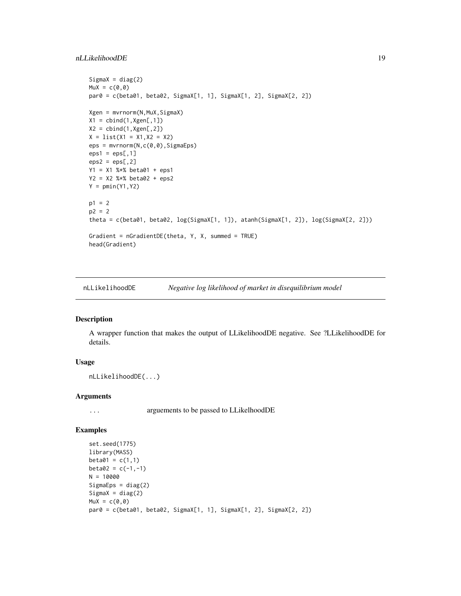# <span id="page-18-0"></span>nLLikelihoodDE 19

```
SignaX = diag(2)Mux = c(0, 0)par0 = c(beta01, beta02, SigmaX[1, 1], SigmaX[1, 2], SigmaX[2, 2])
Xgen = mvrnorm(N,MuX,SigmaX)
X1 = \text{cbind}(1, Xgen[, 1])X2 = \text{cbind}(1, Xgen[, 2])X = list(X1 = X1, X2 = X2)eps = mvrnorm(N,c(0,0),SigmaEps)
eps1 =eps[, 1]eps2 =eps[, 2]Y1 = X1 %*% beta01 + eps1
Y2 = X2 %*% beta02 + eps2
Y = pmin(Y1, Y2)p1 = 2
p2 = 2theta = c(beta01, beta02, log(SigmaX[1, 1]), atanh(SigmaX[1, 2]), log(SigmaX[2, 2]))
Gradient = nGradientDE(theta, Y, X, summed = TRUE)
head(Gradient)
```
nLLikelihoodDE *Negative log likelihood of market in disequilibrium model*

#### Description

A wrapper function that makes the output of LLikelihoodDE negative. See ?LLikelihoodDE for details.

### Usage

nLLikelihoodDE(...)

#### **Arguments**

... arguements to be passed to LLikelhoodDE

```
set.seed(1775)
library(MASS)
beta01 = c(1,1)beta2 = c(-1, -1)N = 10000
SignaEps = diag(2)Sigma = diag(2)Mux = c(0, 0)par0 = c(beta01, beta02, SigmaX[1, 1], SigmaX[1, 2], SigmaX[2, 2])
```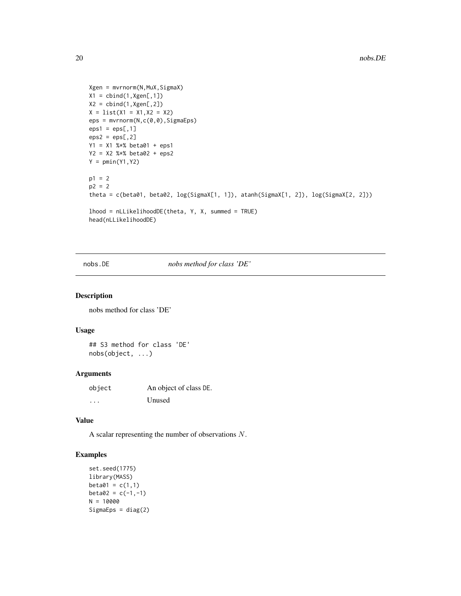```
Xgen = mvrnorm(N,MuX,SigmaX)
X1 = \text{cbind}(1, Xgen[, 1])X2 = \text{cbind}(1, Xgen[, 2])X = list(X1 = X1, X2 = X2)eps = mvrnorm(N,c(0,0),SigmaEps)
eps1 =eps[, 1]eps2 =eps[, 2]Y1 = X1 %*% beta01 + eps1
Y2 = X2 %*% beta02 + eps2
Y = pmin(Y1, Y2)p1 = 2p2 = 2theta = c(beta01, beta02, log(SigmaX[1, 1]), atanh(SigmaX[1, 2]), log(SigmaX[2, 2]))
lhood = nLLikelihoodDE(theta, Y, X, summed = TRUE)
head(nLLikelihoodDE)
```
nobs.DE *nobs method for class 'DE'*

#### Description

nobs method for class 'DE'

# Usage

## S3 method for class 'DE' nobs(object, ...)

# Arguments

| object | An object of class DE. |
|--------|------------------------|
| .      | Unused                 |

# Value

A scalar representing the number of observations N.

```
set.seed(1775)
library(MASS)
beta01 = c(1,1)beta2 = c(-1,-1)N = 10000SigmaEps = diag(2)
```
<span id="page-19-0"></span>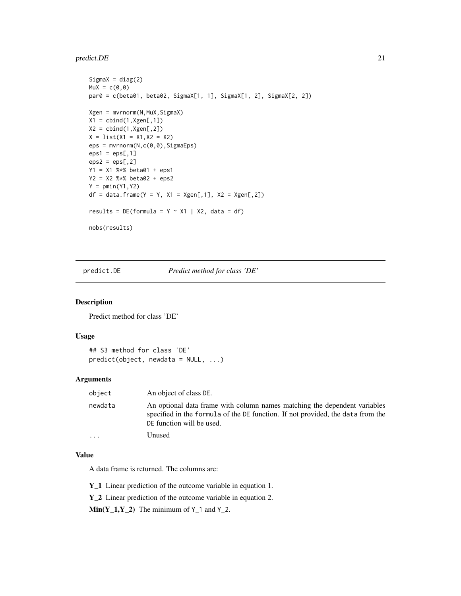#### <span id="page-20-0"></span>predict.DE 21

```
SignaX = diag(2)Mux = c(0, 0)par0 = c(beta01, beta02, SigmaX[1, 1], SigmaX[1, 2], SigmaX[2, 2])
Xgen = mvrnorm(N,MuX,SigmaX)
X1 = \text{cbind}(1, Xgen[, 1])X2 = \text{cbind}(1, Xgen[, 2])X = list(X1 = X1, X2 = X2)eps = mvrnorm(N,c(0,0),SigmaEps)
eps1 =eps[, 1]eps2 =eps[, 2]Y1 = X1 %*% beta01 + eps1
Y2 = X2 %*% beta02 + eps2
Y = pmin(Y1, Y2)df = data-frame(Y = Y, X1 = Xgen[, 1], X2 = Xgen[, 2]results = DE(formula = Y ~ x1 | X2, data = df)nobs(results)
```
predict.DE *Predict method for class 'DE'*

# Description

Predict method for class 'DE'

# Usage

```
## S3 method for class 'DE'
predict(object, new data = NULL, ...)
```
#### Arguments

| object  | An object of class DE.                                                                                                                                                                    |
|---------|-------------------------------------------------------------------------------------------------------------------------------------------------------------------------------------------|
| newdata | An optional data frame with column names matching the dependent variables<br>specified in the formula of the DE function. If not provided, the data from the<br>DE function will be used. |
| .       | Unused                                                                                                                                                                                    |

#### Value

A data frame is returned. The columns are:

Y\_1 Linear prediction of the outcome variable in equation 1.

Y\_2 Linear prediction of the outcome variable in equation 2.

 $Min(Y_1, Y_2)$  The minimum of  $Y_1$  and  $Y_2$ .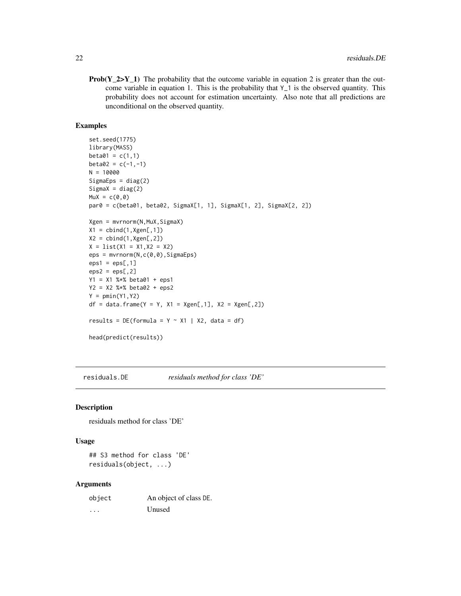<span id="page-21-0"></span>**Prob(Y\_2>Y\_1)** The probability that the outcome variable in equation 2 is greater than the outcome variable in equation 1. This is the probability that Y\_1 is the observed quantity. This probability does not account for estimation uncertainty. Also note that all predictions are unconditional on the observed quantity.

#### Examples

```
set.seed(1775)
library(MASS)
beta01 = c(1,1)beta2 = c(-1, -1)N = 10000
SigmaEps = diag(2)Sigma = diag(2)MuX = c(0, 0)par0 = c(beta01, beta02, SigmaX[1, 1], SigmaX[1, 2], SigmaX[2, 2])
Xgen = mvrnorm(N,MuX,SigmaX)
X1 = \text{cbind}(1, Xgen[, 1])X2 = \text{cbind}(1, Xgen[, 2])X = list(X1 = X1, X2 = X2)eps = mvrnorm(N,c(0,0),SigmaEps)
eps1 =eps[, 1]eps2 =eps[, 2]Y1 = X1 %*% beta01 + eps1
Y2 = X2 %*% beta02 + eps2
Y = pmin(Y1, Y2)df = data frame(Y = Y, X1 = Xgen[, 1], X2 = Xgen[, 2])results = DE(formula = Y ~ x1 | X2, data = df)head(predict(results))
```
residuals.DE *residuals method for class 'DE'*

#### Description

residuals method for class 'DE'

#### Usage

## S3 method for class 'DE' residuals(object, ...)

#### Arguments

| object | An object of class DE. |
|--------|------------------------|
| .      | Unused                 |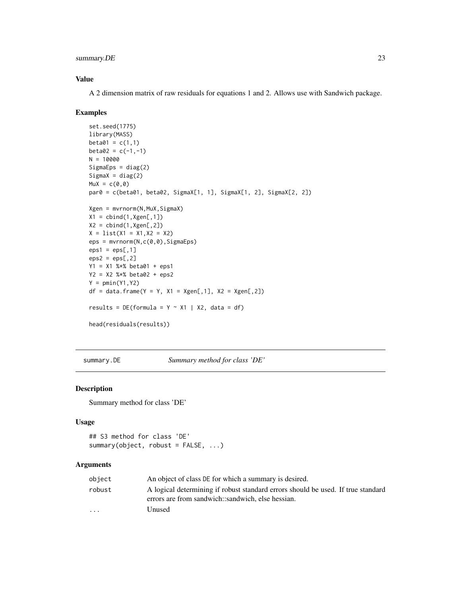# <span id="page-22-0"></span>summary.DE 23

# Value

A 2 dimension matrix of raw residuals for equations 1 and 2. Allows use with Sandwich package.

#### Examples

```
set.seed(1775)
library(MASS)
beta01 = c(1,1)beta2 = c(-1,-1)N = 10000SignaEps = diag(2)SignaX = diag(2)Mux = c(0, 0)par0 = c(beta01, beta02, SigmaX[1, 1], SigmaX[1, 2], SigmaX[2, 2])
Xgen = mvrnorm(N,MuX,SigmaX)
X1 = \text{cbind}(1, Xgen[, 1])X2 = \text{cbind}(1, Xgen[, 2])X = list(X1 = X1, X2 = X2)eps = mvrnorm(N,c(0,0),SigmaEps)
eps1 =eps[, 1]eps2 =eps[, 2]Y1 = X1 %*% beta01 + eps1
Y2 = X2 %*% beta02 + eps2
Y = pmin(Y1, Y2)df = data frame(Y = Y, X1 = Xgen[, 1], X2 = Xgen[, 2])results = DE(formula = Y ~ x1 | X2, data = df)head(residuals(results))
```
summary.DE *Summary method for class 'DE'*

#### Description

Summary method for class 'DE'

#### Usage

```
## S3 method for class 'DE'
summary(object, robust = FALSE, ...)
```
#### Arguments

| object   | An object of class DE for which a summary is desired.                                                                                 |
|----------|---------------------------------------------------------------------------------------------------------------------------------------|
| robust   | A logical determining if robust standard errors should be used. If true standard<br>errors are from sandwich::sandwich. else hessian. |
| $\cdots$ | Unused                                                                                                                                |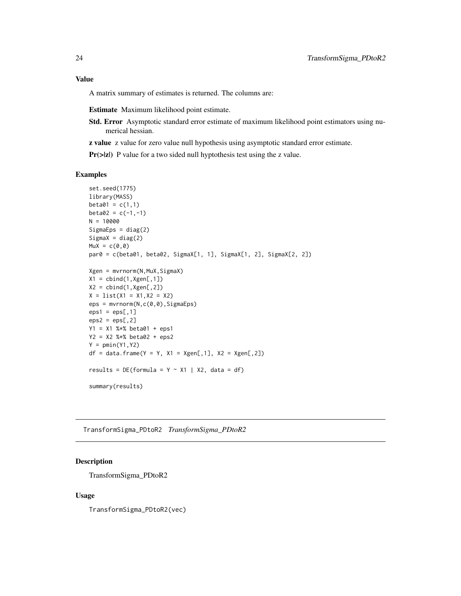# <span id="page-23-0"></span>Value

A matrix summary of estimates is returned. The columns are:

Estimate Maximum likelihood point estimate.

- Std. Error Asymptotic standard error estimate of maximum likelihood point estimators using numerical hessian.
- z value z value for zero value null hypothesis using asymptotic standard error estimate.

 $Pr(\ge |z|)$  P value for a two sided null hyptothesis test using the z value.

#### Examples

```
set.seed(1775)
library(MASS)
beta01 = c(1,1)beta2 = c(-1, -1)N = 10000
Sigma = diag(2)Sigma = diag(2)MuX = c(0, 0)par0 = c(beta01, beta02, SigmaX[1, 1], SigmaX[1, 2], SigmaX[2, 2])
Xgen = mvrnorm(N,MuX,SigmaX)
X1 = \text{cbind}(1, \text{Xgen}[, 1])X2 = \text{cbind}(1, Xgen[, 2])X = list(X1 = X1, X2 = X2)eps = mvrnorm(N,c(0,0),SigmaEps)
eps1 =eps[, 1]eps2 =eps[, 2]Y1 = X1 %*% beta01 + eps1
Y2 = X2 %*% beta02 + eps2
Y = pmin(Y1, Y2)df = data-frame(Y = Y, X1 = Xgen[, 1], X2 = Xgen[, 2]results = DE(formula = Y ~ x1 | X2, data = df)summary(results)
```
TransformSigma\_PDtoR2 *TransformSigma\_PDtoR2*

# Description

TransformSigma\_PDtoR2

#### Usage

TransformSigma\_PDtoR2(vec)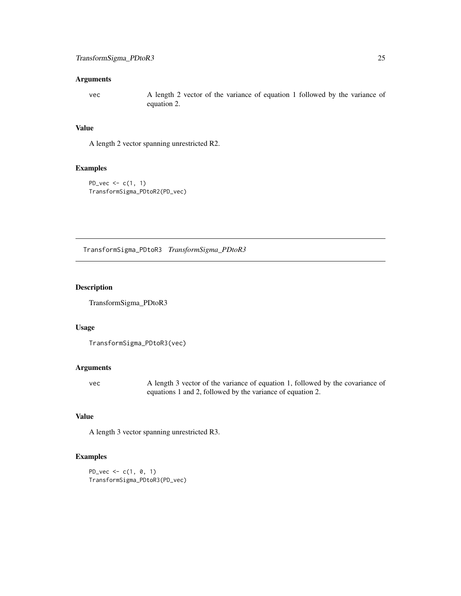# <span id="page-24-0"></span>Arguments

vec A length 2 vector of the variance of equation 1 followed by the variance of equation 2.

# Value

A length 2 vector spanning unrestricted R2.

# Examples

```
PD_{\text{-}vec} \leftarrow c(1, 1)TransformSigma_PDtoR2(PD_vec)
```
TransformSigma\_PDtoR3 *TransformSigma\_PDtoR3*

# Description

TransformSigma\_PDtoR3

# Usage

```
TransformSigma_PDtoR3(vec)
```
#### Arguments

vec A length 3 vector of the variance of equation 1, followed by the covariance of equations 1 and 2, followed by the variance of equation 2.

# Value

A length 3 vector spanning unrestricted R3.

```
PD_{\text{-}vec} \leftarrow c(1, 0, 1)TransformSigma_PDtoR3(PD_vec)
```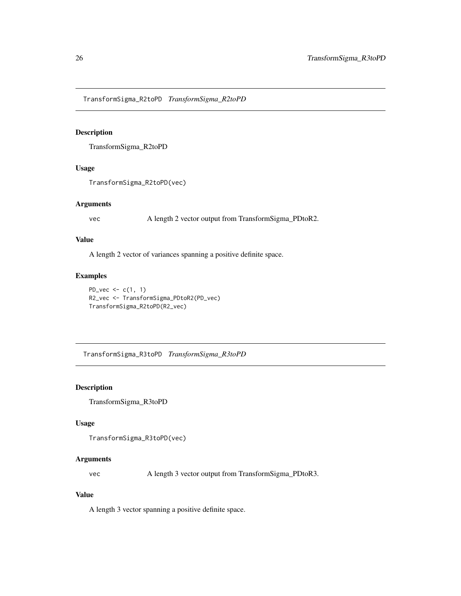<span id="page-25-0"></span>TransformSigma\_R2toPD *TransformSigma\_R2toPD*

# Description

TransformSigma\_R2toPD

# Usage

TransformSigma\_R2toPD(vec)

#### Arguments

vec A length 2 vector output from TransformSigma\_PDtoR2.

# Value

A length 2 vector of variances spanning a positive definite space.

# Examples

PD\_vec  $\leq$   $c(1, 1)$ R2\_vec <- TransformSigma\_PDtoR2(PD\_vec) TransformSigma\_R2toPD(R2\_vec)

TransformSigma\_R3toPD *TransformSigma\_R3toPD*

# Description

TransformSigma\_R3toPD

#### Usage

```
TransformSigma_R3toPD(vec)
```
# Arguments

vec A length 3 vector output from TransformSigma\_PDtoR3.

#### Value

A length 3 vector spanning a positive definite space.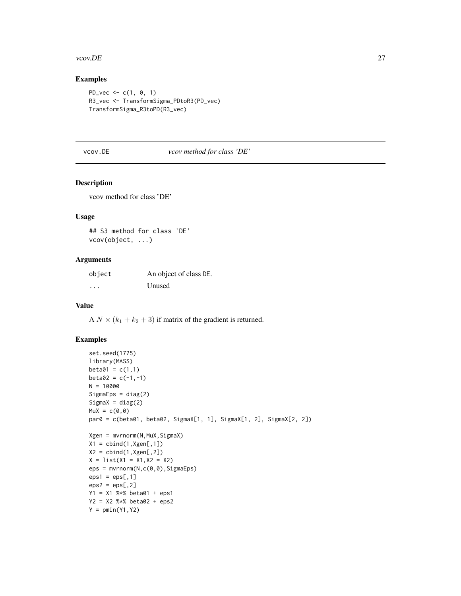#### <span id="page-26-0"></span>vcov.DE 27

# Examples

```
PD_{\text{-}vec} \leftarrow c(1, 0, 1)R3_vec <- TransformSigma_PDtoR3(PD_vec)
TransformSigma_R3toPD(R3_vec)
```
# vcov.DE *vcov method for class 'DE'*

# Description

vcov method for class 'DE'

#### Usage

## S3 method for class 'DE' vcov(object, ...)

# Arguments

| object   | An object of class DE. |
|----------|------------------------|
| $\cdots$ | Unused                 |

#### Value

A  $N \times (k_1 + k_2 + 3)$  if matrix of the gradient is returned.

```
set.seed(1775)
library(MASS)
beta01 = c(1,1)beta2 = c(-1,-1)N = 10000
SigmaEps = diag(2)Sigma = diag(2)MuX = c(0, 0)par0 = c(beta01, beta02, SigmaX[1, 1], SigmaX[1, 2], SigmaX[2, 2])
Xgen = mvrnorm(N,MuX,SigmaX)
X1 = \text{cbind}(1, Xgen[, 1])X2 = \text{cbind}(1, Xgen[, 2])X = list(X1 = X1, X2 = X2)eps = mvrnorm(N,c(0,0),SigmaEps)
eps1 =eps[, 1]eps2 =eps[, 2]Y1 = X1 %*% beta01 + eps1
Y2 = X2 %*% beta02 + eps2
Y = pmin(Y1, Y2)
```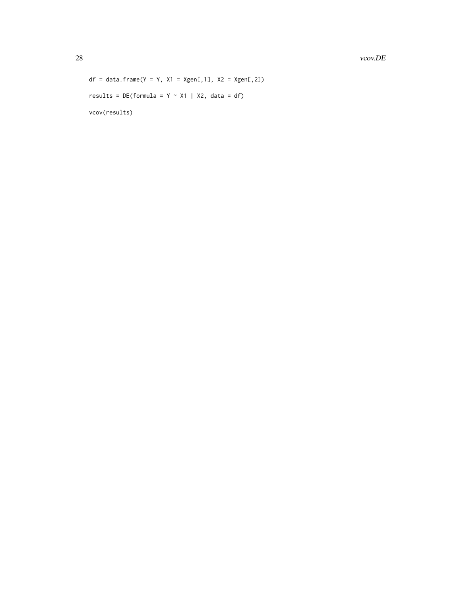28 vcov.DE

```
df = data.frame(Y = Y, X1 = Xgen[, 1], X2 = Xgen[, 2])
results = DE(formula = Y ~ x1 | X2, data = df)vcov(results)
```